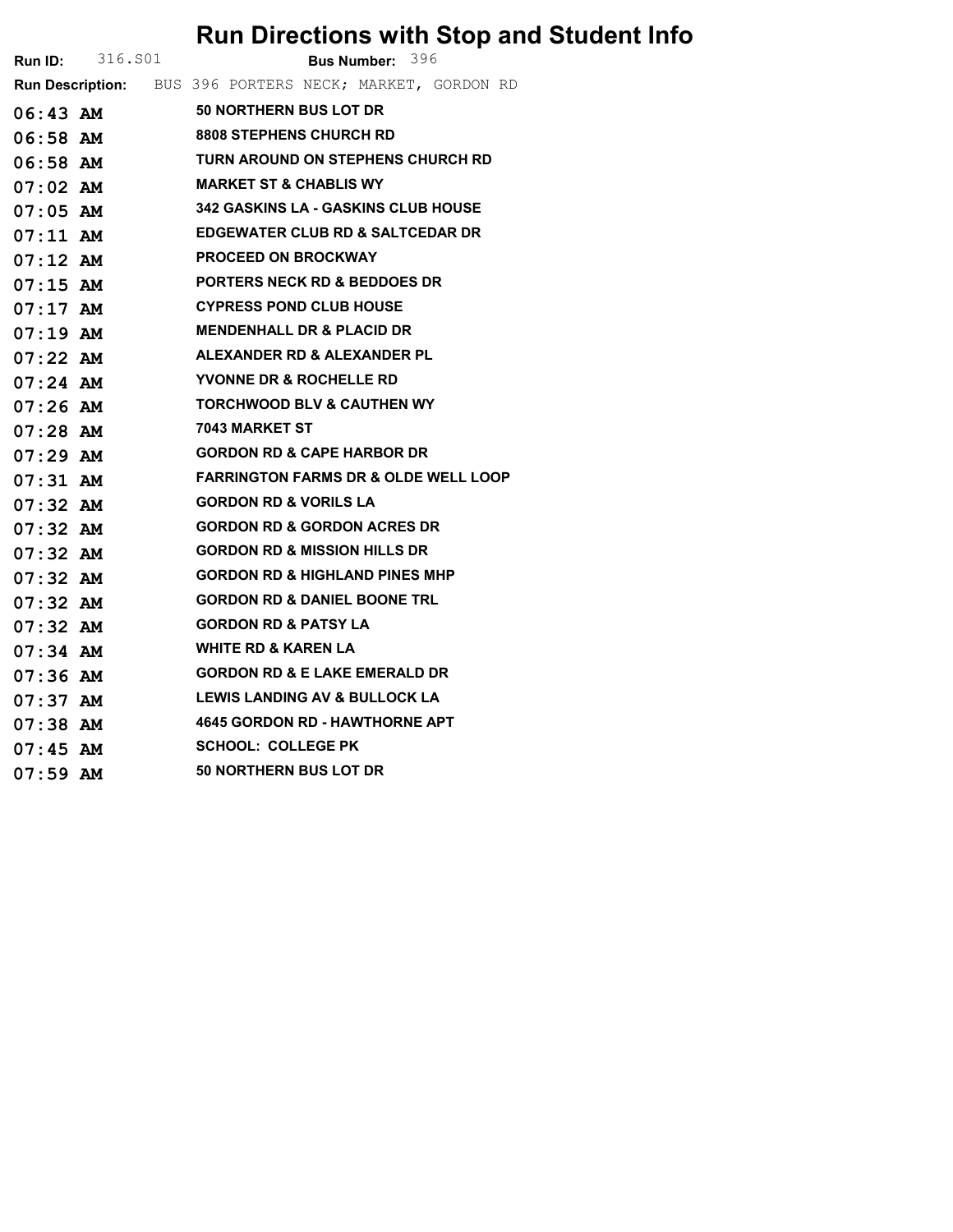## Run Directions with Stop and Student Info

|            | <b>Run ID:</b> 316.801 | <b>Bus Number: 396</b>                                   |  |  |  |  |  |
|------------|------------------------|----------------------------------------------------------|--|--|--|--|--|
|            |                        | Run Description: BUS 396 PORTERS NECK; MARKET, GORDON RD |  |  |  |  |  |
|            |                        | 06:43 AM 50 NORTHERN BUS LOT DR                          |  |  |  |  |  |
|            | 06:58 AM               | <b>8808 STEPHENS CHURCH RD</b>                           |  |  |  |  |  |
|            | $06:58$ AM             | <b>TURN AROUND ON STEPHENS CHURCH RD</b>                 |  |  |  |  |  |
|            | $07:02$ AM             | <b>MARKET ST &amp; CHABLIS WY</b>                        |  |  |  |  |  |
|            | 07:05 AM               | <b>342 GASKINS LA - GASKINS CLUB HOUSE</b>               |  |  |  |  |  |
|            | $07:11$ AM             | <b>EDGEWATER CLUB RD &amp; SALTCEDAR DR</b>              |  |  |  |  |  |
|            | $07:12$ AM             | <b>PROCEED ON BROCKWAY</b>                               |  |  |  |  |  |
| $07:15$ AM |                        | <b>PORTERS NECK RD &amp; BEDDOES DR</b>                  |  |  |  |  |  |
| 07:17 AM   |                        | <b>CYPRESS POND CLUB HOUSE</b>                           |  |  |  |  |  |
| $07:19$ AM |                        | <b>MENDENHALL DR &amp; PLACID DR</b>                     |  |  |  |  |  |
|            |                        | 07:22 AM ALEXANDER RD & ALEXANDER PL                     |  |  |  |  |  |
| 07:24 AM   |                        | <b>YVONNE DR &amp; ROCHELLE RD</b>                       |  |  |  |  |  |
| $07:26$ AM |                        | <b>TORCHWOOD BLV &amp; CAUTHEN WY</b>                    |  |  |  |  |  |
| $07:28$ AM |                        | 7043 MARKET ST                                           |  |  |  |  |  |
|            | $07:29$ AM             | <b>GORDON RD &amp; CAPE HARBOR DR</b>                    |  |  |  |  |  |
| 07:31 AM   |                        | <b>FARRINGTON FARMS DR &amp; OLDE WELL LOOP</b>          |  |  |  |  |  |
| $07:32$ AM |                        | <b>GORDON RD &amp; VORILS LA</b>                         |  |  |  |  |  |
| $07:32$ AM |                        | <b>GORDON RD &amp; GORDON ACRES DR</b>                   |  |  |  |  |  |
|            | 07:32 AM               | <b>GORDON RD &amp; MISSION HILLS DR</b>                  |  |  |  |  |  |
| $07:32$ AM |                        | <b>GORDON RD &amp; HIGHLAND PINES MHP</b>                |  |  |  |  |  |
| $07:32$ AM |                        | <b>GORDON RD &amp; DANIEL BOONE TRL</b>                  |  |  |  |  |  |
| $07:32$ AM |                        | <b>GORDON RD &amp; PATSY LA</b>                          |  |  |  |  |  |
|            |                        | <b>WHITE RD &amp; KAREN LA</b>                           |  |  |  |  |  |
| 07:36 AM   |                        | <b>GORDON RD &amp; E LAKE EMERALD DR</b>                 |  |  |  |  |  |
|            |                        | <b>LEWIS LANDING AV &amp; BULLOCK LA</b>                 |  |  |  |  |  |
| $07:38$ AM |                        | 4645 GORDON RD - HAWTHORNE APT                           |  |  |  |  |  |
|            | $07:45$ AM             | <b>SCHOOL: COLLEGE PK</b>                                |  |  |  |  |  |
| $07:59$ AM |                        | <b>50 NORTHERN BUS LOT DR</b>                            |  |  |  |  |  |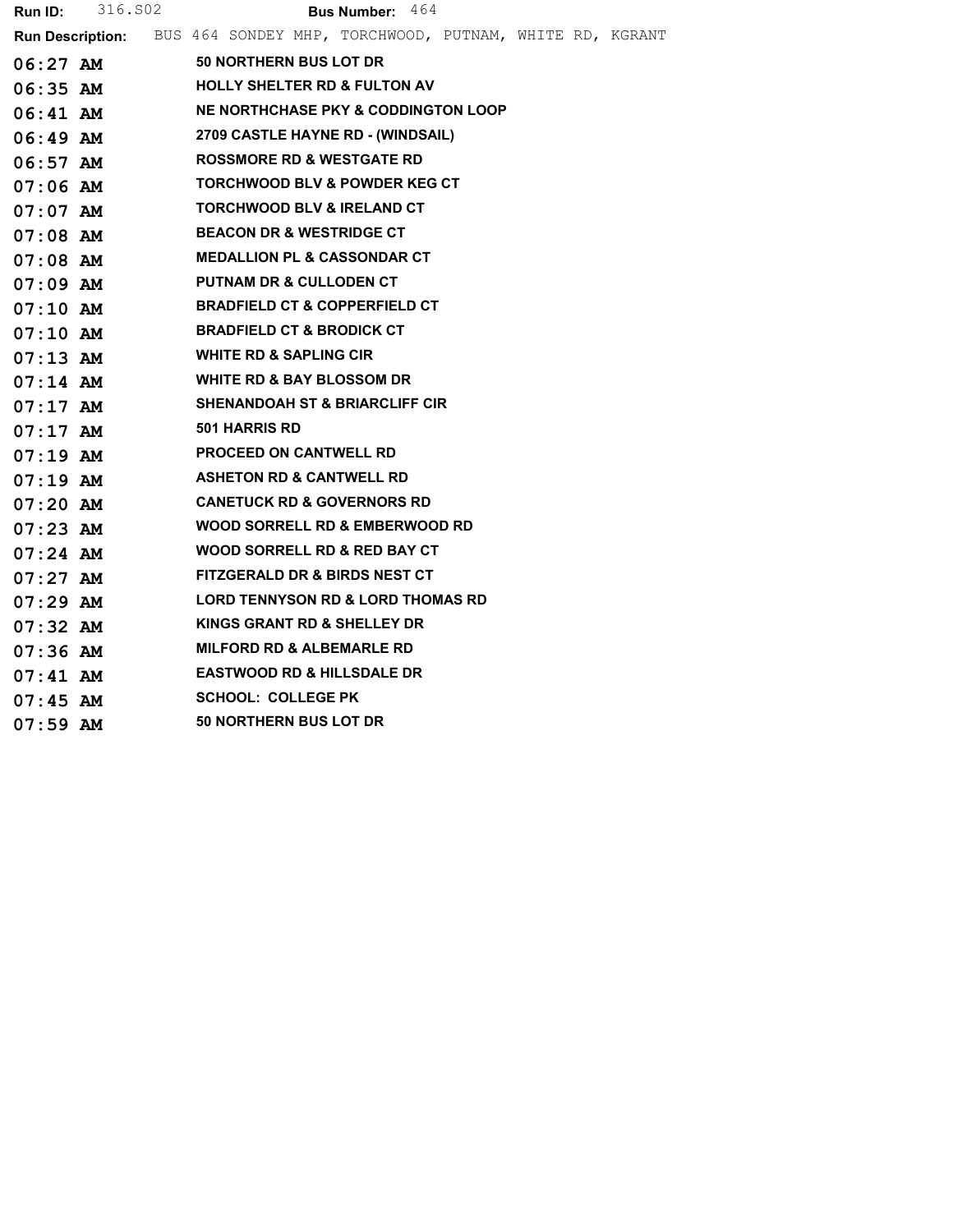| <b>Run Description:</b> BUS 464 SONDEY MHP, TORCHWOOD, PUTNAM, WHITE RD, KGRANT<br><b>50 NORTHERN BUS LOT DR</b><br>06:27 AM<br><b>HOLLY SHELTER RD &amp; FULTON AV</b><br>06:35 AM<br>NE NORTHCHASE PKY & CODDINGTON LOOP<br>06:41 AM<br>2709 CASTLE HAYNE RD - (WINDSAIL)<br>06:49 AM<br><b>ROSSMORE RD &amp; WESTGATE RD</b><br>$06:57$ AM<br><b>TORCHWOOD BLV &amp; POWDER KEG CT</b><br>$07:06$ AM<br><b>TORCHWOOD BLV &amp; IRELAND CT</b><br>07:07 AM<br><b>BEACON DR &amp; WESTRIDGE CT</b><br>07:08 AM<br><b>MEDALLION PL &amp; CASSONDAR CT</b><br>$07:08$ AM<br><b>PUTNAM DR &amp; CULLODEN CT</b><br>$07:09$ AM<br><b>BRADFIELD CT &amp; COPPERFIELD CT</b><br>$07:10$ AM<br><b>BRADFIELD CT &amp; BRODICK CT</b><br>$07:10$ AM<br><b>WHITE RD &amp; SAPLING CIR</b><br>$07:13$ AM<br><b>WHITE RD &amp; BAY BLOSSOM DR</b><br>$07:14$ AM<br><b>SHENANDOAH ST &amp; BRIARCLIFF CIR</b><br>$07:17$ AM<br><b>501 HARRIS RD</b><br>$07:17$ AM<br><b>PROCEED ON CANTWELL RD</b><br>$07:19$ AM<br><b>ASHETON RD &amp; CANTWELL RD</b><br>07:19 AM<br><b>CANETUCK RD &amp; GOVERNORS RD</b><br>$07:20$ AM<br>WOOD SORRELL RD & EMBERWOOD RD<br>$07:23$ AM<br>WOOD SORRELL RD & RED BAY CT<br>$07:24$ AM<br><b>FITZGERALD DR &amp; BIRDS NEST CT</b><br>$07:27$ AM<br><b>LORD TENNYSON RD &amp; LORD THOMAS RD</b><br>$07:29$ AM<br>KINGS GRANT RD & SHELLEY DR<br>$07:32$ AM<br><b>MILFORD RD &amp; ALBEMARLE RD</b><br>$07:36$ AM<br><b>EASTWOOD RD &amp; HILLSDALE DR</b><br>$07:41$ AM<br><b>SCHOOL: COLLEGE PK</b><br>$07:45$ AM<br><b>50 NORTHERN BUS LOT DR</b><br>$07:59$ AM | <b>Run ID:</b> $316.502$ | <b>Bus Number: 464</b> |
|------------------------------------------------------------------------------------------------------------------------------------------------------------------------------------------------------------------------------------------------------------------------------------------------------------------------------------------------------------------------------------------------------------------------------------------------------------------------------------------------------------------------------------------------------------------------------------------------------------------------------------------------------------------------------------------------------------------------------------------------------------------------------------------------------------------------------------------------------------------------------------------------------------------------------------------------------------------------------------------------------------------------------------------------------------------------------------------------------------------------------------------------------------------------------------------------------------------------------------------------------------------------------------------------------------------------------------------------------------------------------------------------------------------------------------------------------------------------------------------------------------------------------------------------------------------------------------------|--------------------------|------------------------|
|                                                                                                                                                                                                                                                                                                                                                                                                                                                                                                                                                                                                                                                                                                                                                                                                                                                                                                                                                                                                                                                                                                                                                                                                                                                                                                                                                                                                                                                                                                                                                                                          |                          |                        |
|                                                                                                                                                                                                                                                                                                                                                                                                                                                                                                                                                                                                                                                                                                                                                                                                                                                                                                                                                                                                                                                                                                                                                                                                                                                                                                                                                                                                                                                                                                                                                                                          |                          |                        |
|                                                                                                                                                                                                                                                                                                                                                                                                                                                                                                                                                                                                                                                                                                                                                                                                                                                                                                                                                                                                                                                                                                                                                                                                                                                                                                                                                                                                                                                                                                                                                                                          |                          |                        |
|                                                                                                                                                                                                                                                                                                                                                                                                                                                                                                                                                                                                                                                                                                                                                                                                                                                                                                                                                                                                                                                                                                                                                                                                                                                                                                                                                                                                                                                                                                                                                                                          |                          |                        |
|                                                                                                                                                                                                                                                                                                                                                                                                                                                                                                                                                                                                                                                                                                                                                                                                                                                                                                                                                                                                                                                                                                                                                                                                                                                                                                                                                                                                                                                                                                                                                                                          |                          |                        |
|                                                                                                                                                                                                                                                                                                                                                                                                                                                                                                                                                                                                                                                                                                                                                                                                                                                                                                                                                                                                                                                                                                                                                                                                                                                                                                                                                                                                                                                                                                                                                                                          |                          |                        |
|                                                                                                                                                                                                                                                                                                                                                                                                                                                                                                                                                                                                                                                                                                                                                                                                                                                                                                                                                                                                                                                                                                                                                                                                                                                                                                                                                                                                                                                                                                                                                                                          |                          |                        |
|                                                                                                                                                                                                                                                                                                                                                                                                                                                                                                                                                                                                                                                                                                                                                                                                                                                                                                                                                                                                                                                                                                                                                                                                                                                                                                                                                                                                                                                                                                                                                                                          |                          |                        |
|                                                                                                                                                                                                                                                                                                                                                                                                                                                                                                                                                                                                                                                                                                                                                                                                                                                                                                                                                                                                                                                                                                                                                                                                                                                                                                                                                                                                                                                                                                                                                                                          |                          |                        |
|                                                                                                                                                                                                                                                                                                                                                                                                                                                                                                                                                                                                                                                                                                                                                                                                                                                                                                                                                                                                                                                                                                                                                                                                                                                                                                                                                                                                                                                                                                                                                                                          |                          |                        |
|                                                                                                                                                                                                                                                                                                                                                                                                                                                                                                                                                                                                                                                                                                                                                                                                                                                                                                                                                                                                                                                                                                                                                                                                                                                                                                                                                                                                                                                                                                                                                                                          |                          |                        |
|                                                                                                                                                                                                                                                                                                                                                                                                                                                                                                                                                                                                                                                                                                                                                                                                                                                                                                                                                                                                                                                                                                                                                                                                                                                                                                                                                                                                                                                                                                                                                                                          |                          |                        |
|                                                                                                                                                                                                                                                                                                                                                                                                                                                                                                                                                                                                                                                                                                                                                                                                                                                                                                                                                                                                                                                                                                                                                                                                                                                                                                                                                                                                                                                                                                                                                                                          |                          |                        |
|                                                                                                                                                                                                                                                                                                                                                                                                                                                                                                                                                                                                                                                                                                                                                                                                                                                                                                                                                                                                                                                                                                                                                                                                                                                                                                                                                                                                                                                                                                                                                                                          |                          |                        |
|                                                                                                                                                                                                                                                                                                                                                                                                                                                                                                                                                                                                                                                                                                                                                                                                                                                                                                                                                                                                                                                                                                                                                                                                                                                                                                                                                                                                                                                                                                                                                                                          |                          |                        |
|                                                                                                                                                                                                                                                                                                                                                                                                                                                                                                                                                                                                                                                                                                                                                                                                                                                                                                                                                                                                                                                                                                                                                                                                                                                                                                                                                                                                                                                                                                                                                                                          |                          |                        |
|                                                                                                                                                                                                                                                                                                                                                                                                                                                                                                                                                                                                                                                                                                                                                                                                                                                                                                                                                                                                                                                                                                                                                                                                                                                                                                                                                                                                                                                                                                                                                                                          |                          |                        |
|                                                                                                                                                                                                                                                                                                                                                                                                                                                                                                                                                                                                                                                                                                                                                                                                                                                                                                                                                                                                                                                                                                                                                                                                                                                                                                                                                                                                                                                                                                                                                                                          |                          |                        |
|                                                                                                                                                                                                                                                                                                                                                                                                                                                                                                                                                                                                                                                                                                                                                                                                                                                                                                                                                                                                                                                                                                                                                                                                                                                                                                                                                                                                                                                                                                                                                                                          |                          |                        |
|                                                                                                                                                                                                                                                                                                                                                                                                                                                                                                                                                                                                                                                                                                                                                                                                                                                                                                                                                                                                                                                                                                                                                                                                                                                                                                                                                                                                                                                                                                                                                                                          |                          |                        |
|                                                                                                                                                                                                                                                                                                                                                                                                                                                                                                                                                                                                                                                                                                                                                                                                                                                                                                                                                                                                                                                                                                                                                                                                                                                                                                                                                                                                                                                                                                                                                                                          |                          |                        |
|                                                                                                                                                                                                                                                                                                                                                                                                                                                                                                                                                                                                                                                                                                                                                                                                                                                                                                                                                                                                                                                                                                                                                                                                                                                                                                                                                                                                                                                                                                                                                                                          |                          |                        |
|                                                                                                                                                                                                                                                                                                                                                                                                                                                                                                                                                                                                                                                                                                                                                                                                                                                                                                                                                                                                                                                                                                                                                                                                                                                                                                                                                                                                                                                                                                                                                                                          |                          |                        |
|                                                                                                                                                                                                                                                                                                                                                                                                                                                                                                                                                                                                                                                                                                                                                                                                                                                                                                                                                                                                                                                                                                                                                                                                                                                                                                                                                                                                                                                                                                                                                                                          |                          |                        |
|                                                                                                                                                                                                                                                                                                                                                                                                                                                                                                                                                                                                                                                                                                                                                                                                                                                                                                                                                                                                                                                                                                                                                                                                                                                                                                                                                                                                                                                                                                                                                                                          |                          |                        |
|                                                                                                                                                                                                                                                                                                                                                                                                                                                                                                                                                                                                                                                                                                                                                                                                                                                                                                                                                                                                                                                                                                                                                                                                                                                                                                                                                                                                                                                                                                                                                                                          |                          |                        |
|                                                                                                                                                                                                                                                                                                                                                                                                                                                                                                                                                                                                                                                                                                                                                                                                                                                                                                                                                                                                                                                                                                                                                                                                                                                                                                                                                                                                                                                                                                                                                                                          |                          |                        |
|                                                                                                                                                                                                                                                                                                                                                                                                                                                                                                                                                                                                                                                                                                                                                                                                                                                                                                                                                                                                                                                                                                                                                                                                                                                                                                                                                                                                                                                                                                                                                                                          |                          |                        |
|                                                                                                                                                                                                                                                                                                                                                                                                                                                                                                                                                                                                                                                                                                                                                                                                                                                                                                                                                                                                                                                                                                                                                                                                                                                                                                                                                                                                                                                                                                                                                                                          |                          |                        |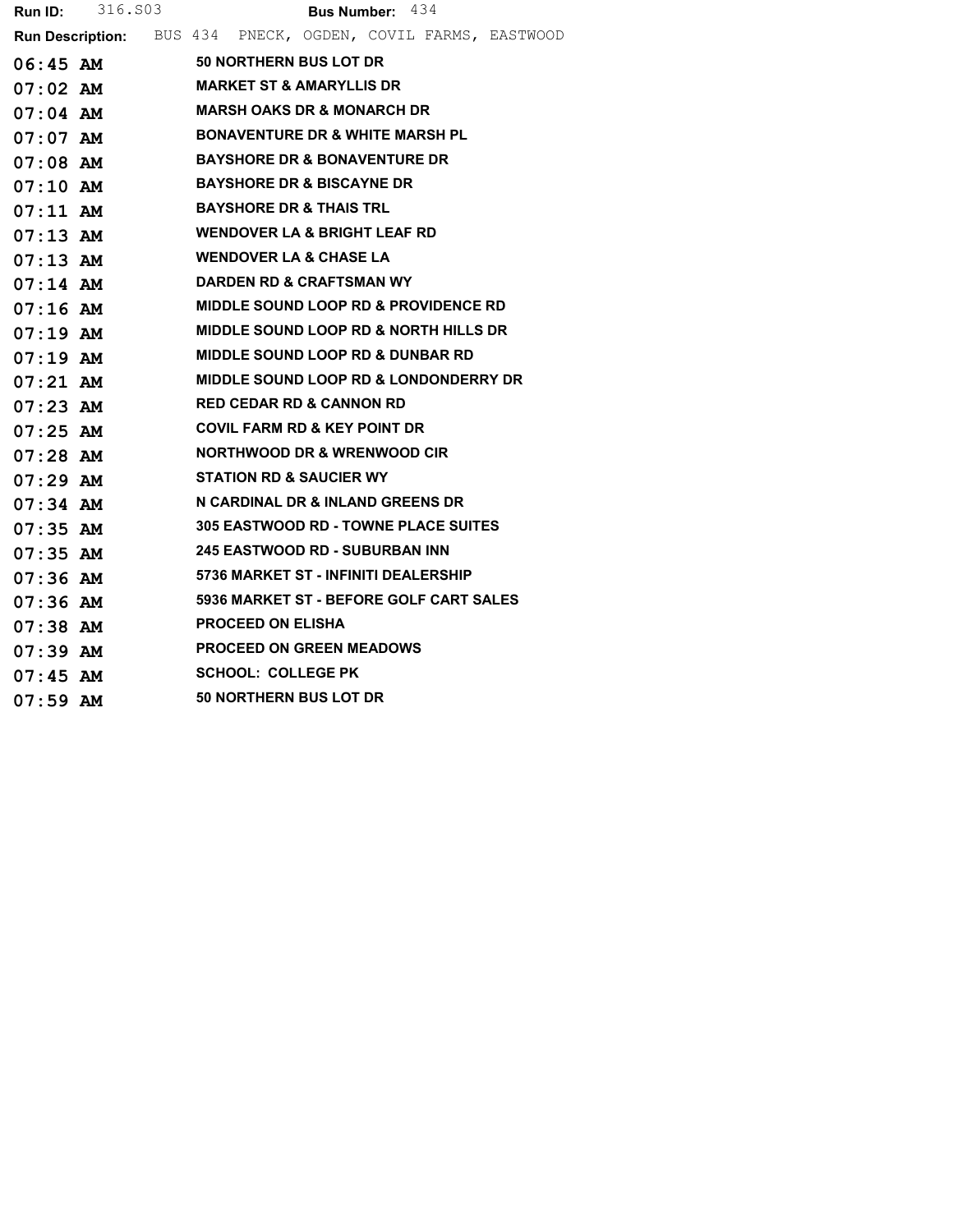|            | <b>Run ID:</b> 316.803 |  |                                                 | <b>Bus Number:</b> $434$ |                                                              |
|------------|------------------------|--|-------------------------------------------------|--------------------------|--------------------------------------------------------------|
|            |                        |  |                                                 |                          | Run Description: BUS 434 PNECK, OGDEN, COVIL FARMS, EASTWOOD |
| 06:45 AM   |                        |  | <b>50 NORTHERN BUS LOT DR</b>                   |                          |                                                              |
|            | $07:02$ $\mathbf{AM}$  |  | MARKET ST & AMARYLLIS DR                        |                          |                                                              |
| 07:04 AM   |                        |  | <b>MARSH OAKS DR &amp; MONARCH DR</b>           |                          |                                                              |
|            |                        |  | <b>BONAVENTURE DR &amp; WHITE MARSH PL</b>      |                          |                                                              |
| 07:08 AM   |                        |  | <b>BAYSHORE DR &amp; BONAVENTURE DR</b>         |                          |                                                              |
| $07:10$ AM |                        |  | <b>BAYSHORE DR &amp; BISCAYNE DR</b>            |                          |                                                              |
| $07:11$ AM |                        |  | <b>BAYSHORE DR &amp; THAIS TRL</b>              |                          |                                                              |
| $07:13$ AM |                        |  | <b>WENDOVER LA &amp; BRIGHT LEAF RD</b>         |                          |                                                              |
|            | 07:13 AM               |  | <b>WENDOVER LA &amp; CHASE LA</b>               |                          |                                                              |
| 07:14 AM   |                        |  | DARDEN RD & CRAFTSMAN WY                        |                          |                                                              |
| $07:16$ AM |                        |  | <b>MIDDLE SOUND LOOP RD &amp; PROVIDENCE RD</b> |                          |                                                              |
| $07:19$ AM |                        |  | MIDDLE SOUND LOOP RD & NORTH HILLS DR           |                          |                                                              |
| $07:19$ AM |                        |  | <b>MIDDLE SOUND LOOP RD &amp; DUNBAR RD</b>     |                          |                                                              |
| $07:21$ AM |                        |  | MIDDLE SOUND LOOP RD & LONDONDERRY DR           |                          |                                                              |
| $07:23$ AM |                        |  | <b>RED CEDAR RD &amp; CANNON RD</b>             |                          |                                                              |
| 07:25 AM   |                        |  | <b>COVIL FARM RD &amp; KEY POINT DR</b>         |                          |                                                              |
| $07:28$ AM |                        |  | NORTHWOOD DR & WRENWOOD CIR                     |                          |                                                              |
| $07:29$ AM |                        |  | <b>STATION RD &amp; SAUCIER WY</b>              |                          |                                                              |
| $07:34$ AM |                        |  | N CARDINAL DR & INLAND GREENS DR                |                          |                                                              |
| $07:35$ AM |                        |  | <b>305 EASTWOOD RD - TOWNE PLACE SUITES</b>     |                          |                                                              |
| $07:35$ AM |                        |  | <b>245 EASTWOOD RD - SUBURBAN INN</b>           |                          |                                                              |
| $07:36$ AM |                        |  | 5736 MARKET ST - INFINITI DEALERSHIP            |                          |                                                              |
| 07:36 AM   |                        |  | 5936 MARKET ST - BEFORE GOLF CART SALES         |                          |                                                              |
| $07:38$ AM |                        |  | <b>PROCEED ON ELISHA</b>                        |                          |                                                              |
| $07:39$ AM |                        |  | <b>PROCEED ON GREEN MEADOWS</b>                 |                          |                                                              |
| $07:45$ AM |                        |  | <b>SCHOOL: COLLEGE PK</b>                       |                          |                                                              |
| $07:59$ AM |                        |  | <b>50 NORTHERN BUS LOT DR</b>                   |                          |                                                              |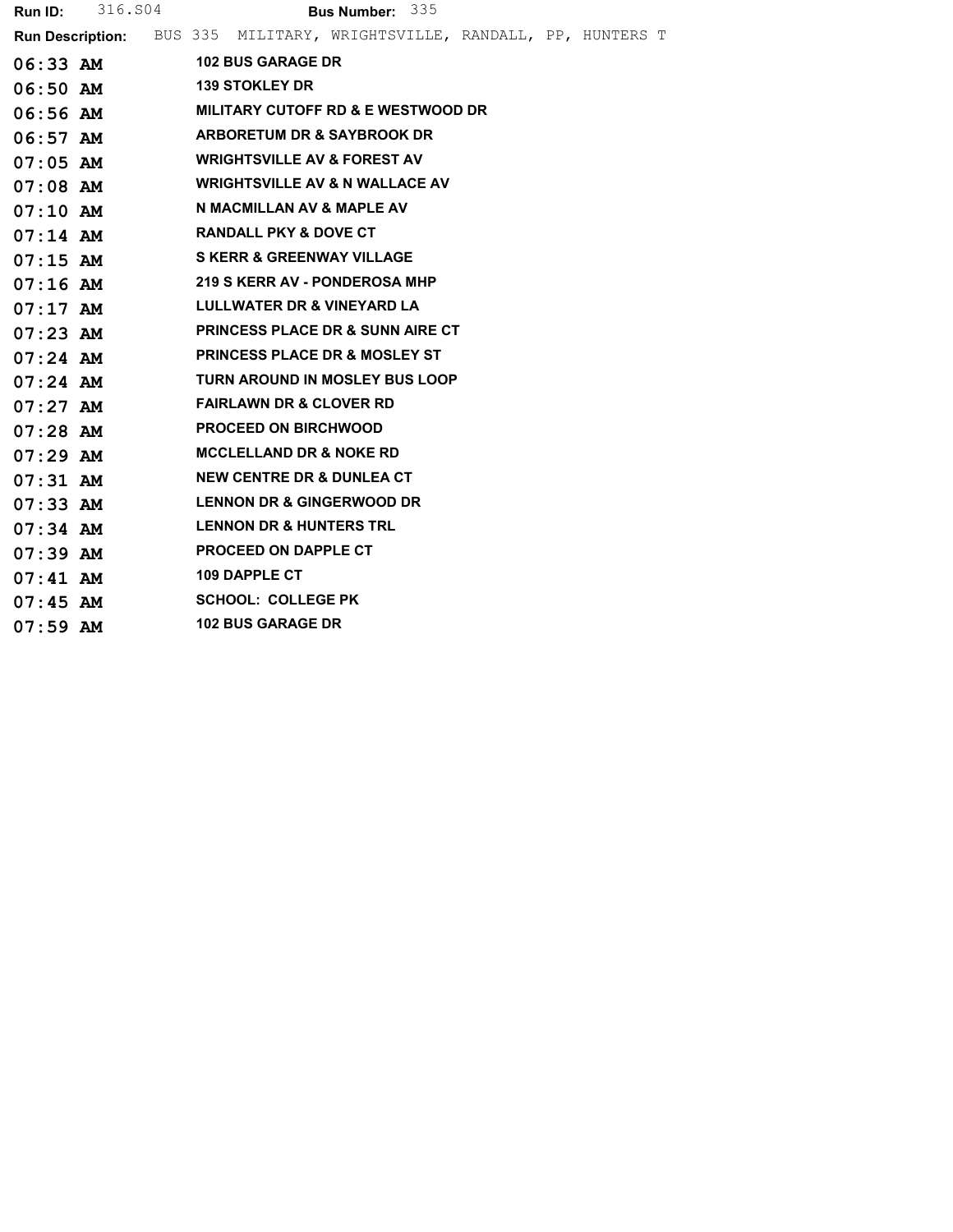| <b>Run ID:</b> | 316.S04    |                                                                                | Bus Number: 335                               |  |  |
|----------------|------------|--------------------------------------------------------------------------------|-----------------------------------------------|--|--|
|                |            | <b>Run Description:</b> BUS 335 MILITARY, WRIGHTSVILLE, RANDALL, PP, HUNTERS T |                                               |  |  |
|                | $06:33$ AM | <b>102 BUS GARAGE DR</b>                                                       |                                               |  |  |
| 06:50 AM       |            | <b>139 STOKLEY DR</b>                                                          |                                               |  |  |
| 06:56 AM       |            |                                                                                | <b>MILITARY CUTOFF RD &amp; E WESTWOOD DR</b> |  |  |
| $06:57$ AM     |            | <b>ARBORETUM DR &amp; SAYBROOK DR</b>                                          |                                               |  |  |
| $07:05$ AM     |            | <b>WRIGHTSVILLE AV &amp; FOREST AV</b>                                         |                                               |  |  |
| $07:08$ AM     |            | <b>WRIGHTSVILLE AV &amp; N WALLACE AV</b>                                      |                                               |  |  |
| $07:10$ AM     |            | N MACMILLAN AV & MAPLE AV                                                      |                                               |  |  |
| $07:14$ AM     |            | <b>RANDALL PKY &amp; DOVE CT</b>                                               |                                               |  |  |
| $07:15$ AM     |            | <b>S KERR &amp; GREENWAY VILLAGE</b>                                           |                                               |  |  |
| $07:16$ AM     |            | 219 S KERR AV - PONDEROSA MHP                                                  |                                               |  |  |
| $07:17$ AM     |            | LULLWATER DR & VINEYARD LA                                                     |                                               |  |  |
| $07:23$ AM     |            |                                                                                | <b>PRINCESS PLACE DR &amp; SUNN AIRE CT</b>   |  |  |
| $07:24$ AM     |            | <b>PRINCESS PLACE DR &amp; MOSLEY ST</b>                                       |                                               |  |  |
| $07:24$ AM     |            |                                                                                | TURN AROUND IN MOSLEY BUS LOOP                |  |  |
| $07:27$ AM     |            | <b>FAIRLAWN DR &amp; CLOVER RD</b>                                             |                                               |  |  |
| $07:28$ AM     |            | <b>PROCEED ON BIRCHWOOD</b>                                                    |                                               |  |  |
| $07:29$ AM     |            | <b>MCCLELLAND DR &amp; NOKE RD</b>                                             |                                               |  |  |
| $07:31$ AM     |            | <b>NEW CENTRE DR &amp; DUNLEA CT</b>                                           |                                               |  |  |
| $07:33$ AM     |            | <b>LENNON DR &amp; GINGERWOOD DR</b>                                           |                                               |  |  |
| $07:34$ AM     |            | <b>LENNON DR &amp; HUNTERS TRL</b>                                             |                                               |  |  |
| $07:39$ AM     |            | <b>PROCEED ON DAPPLE CT</b>                                                    |                                               |  |  |
| $07:41$ AM     |            | <b>109 DAPPLE CT</b>                                                           |                                               |  |  |
| $07:45$ AM     |            | <b>SCHOOL: COLLEGE PK</b>                                                      |                                               |  |  |
| $07:59$ AM     |            | <b>102 BUS GARAGE DR</b>                                                       |                                               |  |  |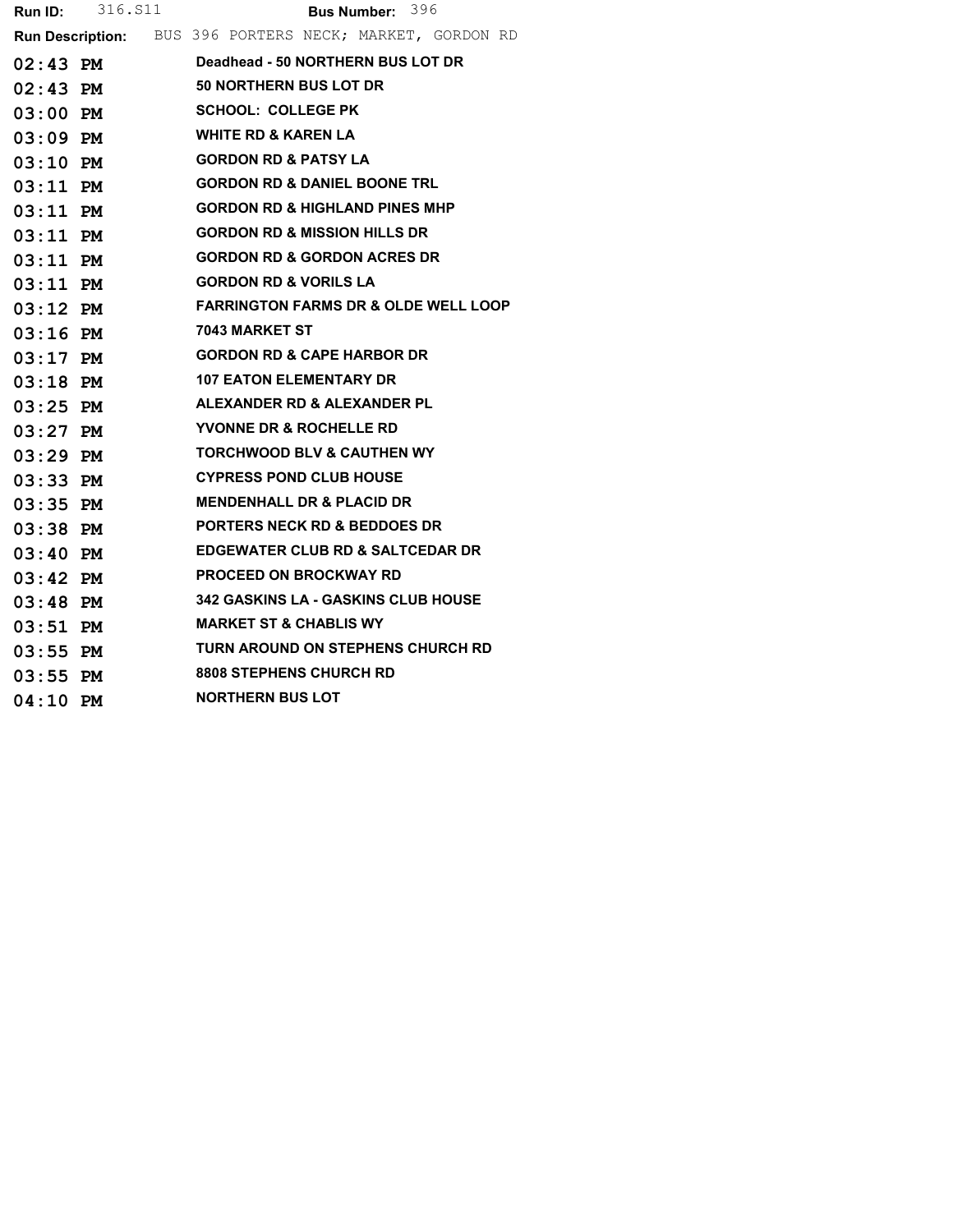|            | Bus Number: 396                                                 |
|------------|-----------------------------------------------------------------|
|            | <b>Run Description:</b> BUS 396 PORTERS NECK; MARKET, GORDON RD |
| $02:43$ PM | Deadhead - 50 NORTHERN BUS LOT DR                               |
| $02:43$ PM | <b>50 NORTHERN BUS LOT DR</b>                                   |
| $03:00$ PM | <b>SCHOOL: COLLEGE PK</b>                                       |
| 03:09 PM   | <b>WHITE RD &amp; KAREN LA</b>                                  |
| $03:10$ PM | <b>GORDON RD &amp; PATSY LA</b>                                 |
| $03:11$ PM | <b>GORDON RD &amp; DANIEL BOONE TRL</b>                         |
| 03:11 PM   | <b>GORDON RD &amp; HIGHLAND PINES MHP</b>                       |
| $03:11$ PM | <b>GORDON RD &amp; MISSION HILLS DR</b>                         |
| $03:11$ PM | <b>GORDON RD &amp; GORDON ACRES DR</b>                          |
| $03:11$ PM | <b>GORDON RD &amp; VORILS LA</b>                                |
| $03:12$ PM | <b>FARRINGTON FARMS DR &amp; OLDE WELL LOOP</b>                 |
| $03:16$ PM | 7043 MARKET ST                                                  |
| $03:17$ PM | <b>GORDON RD &amp; CAPE HARBOR DR</b>                           |
| $03:18$ PM | <b>107 EATON ELEMENTARY DR</b>                                  |
| $03:25$ PM | ALEXANDER RD & ALEXANDER PL                                     |
| $03:27$ PM | YVONNE DR & ROCHELLE RD                                         |
| $03:29$ PM | <b>TORCHWOOD BLV &amp; CAUTHEN WY</b>                           |
| $03:33$ PM | <b>CYPRESS POND CLUB HOUSE</b>                                  |
| $03:35$ PM | <b>MENDENHALL DR &amp; PLACID DR</b>                            |
| $03:38$ PM | <b>PORTERS NECK RD &amp; BEDDOES DR</b>                         |
| $03:40$ PM | <b>EDGEWATER CLUB RD &amp; SALTCEDAR DR</b>                     |
| $03:42$ PM | <b>PROCEED ON BROCKWAY RD</b>                                   |
| $03:48$ PM | 342 GASKINS LA - GASKINS CLUB HOUSE                             |
| $03:51$ PM | <b>MARKET ST &amp; CHABLIS WY</b>                               |
| $03:55$ PM | TURN AROUND ON STEPHENS CHURCH RD                               |
| $03:55$ PM | <b>8808 STEPHENS CHURCH RD</b>                                  |
| 04:10 PM   | <b>NORTHERN BUS LOT</b>                                         |
|            | <b>Run ID:</b> 316. S11                                         |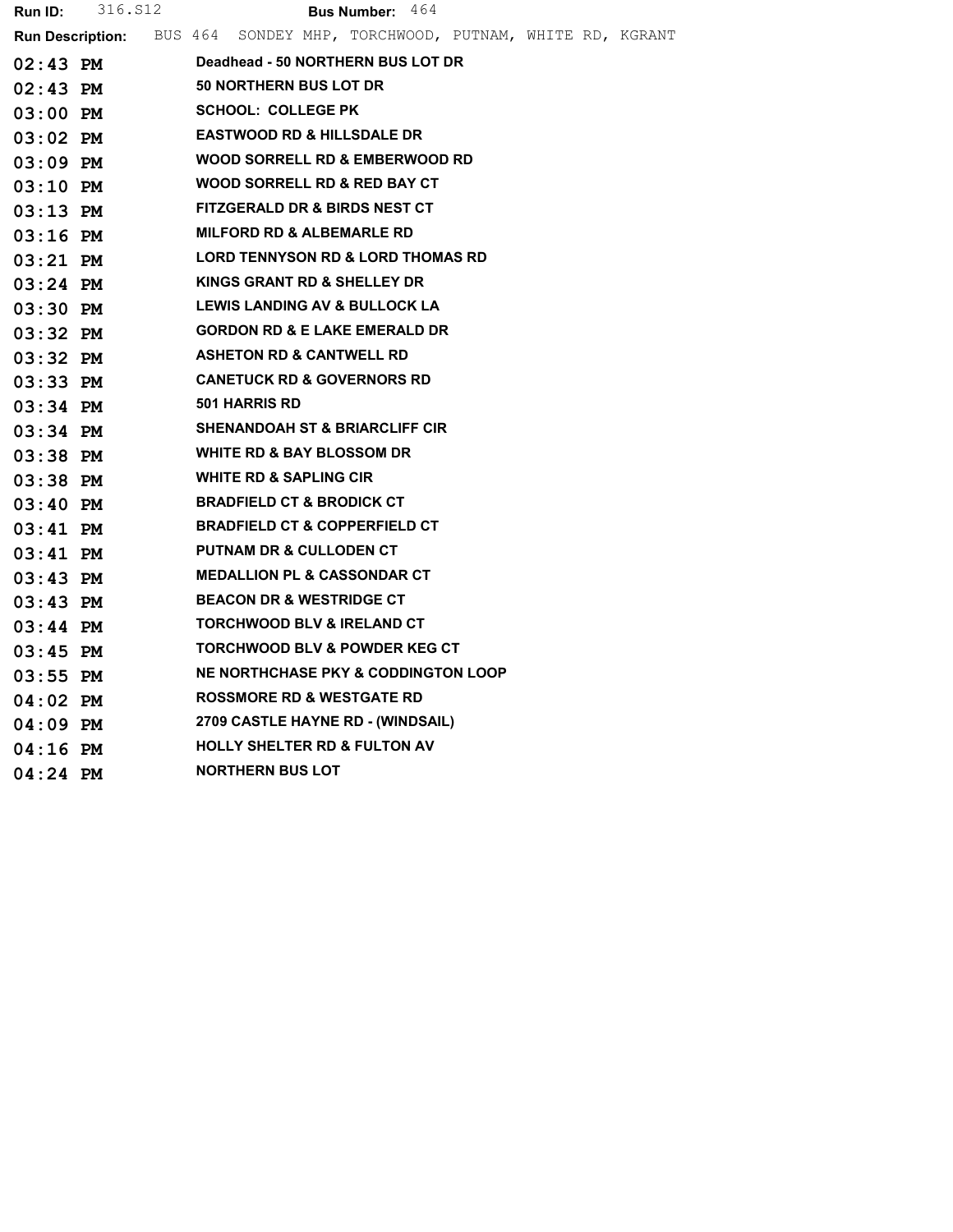| Run ID:    | 316.S12 | <b>Bus Number: 464</b>                                                          |
|------------|---------|---------------------------------------------------------------------------------|
|            |         | <b>Run Description:</b> BUS 464 SONDEY MHP, TORCHWOOD, PUTNAM, WHITE RD, KGRANT |
| $02:43$ PM |         | Deadhead - 50 NORTHERN BUS LOT DR                                               |
| $02:43$ PM |         | 50 NORTHERN BUS LOT DR                                                          |
| $03:00$ PM |         | <b>SCHOOL: COLLEGE PK</b>                                                       |
| $03:02$ PM |         | <b>EASTWOOD RD &amp; HILLSDALE DR</b>                                           |
| $03:09$ PM |         | WOOD SORRELL RD & EMBERWOOD RD                                                  |
| $03:10$ PM |         | WOOD SORRELL RD & RED BAY CT                                                    |
| $03:13$ PM |         | <b>FITZGERALD DR &amp; BIRDS NEST CT</b>                                        |
| $03:16$ PM |         | <b>MILFORD RD &amp; ALBEMARLE RD</b>                                            |
| $03:21$ PM |         | <b>LORD TENNYSON RD &amp; LORD THOMAS RD</b>                                    |
| $03:24$ PM |         | KINGS GRANT RD & SHELLEY DR                                                     |
| $03:30$ PM |         | LEWIS LANDING AV & BULLOCK LA                                                   |
| $03:32$ PM |         | <b>GORDON RD &amp; E LAKE EMERALD DR</b>                                        |
| $03:32$ PM |         | <b>ASHETON RD &amp; CANTWELL RD</b>                                             |
| $03:33$ PM |         | <b>CANETUCK RD &amp; GOVERNORS RD</b>                                           |
| $03:34$ PM |         | <b>501 HARRIS RD</b>                                                            |
| $03:34$ PM |         | <b>SHENANDOAH ST &amp; BRIARCLIFF CIR</b>                                       |
| $03:38$ PM |         | <b>WHITE RD &amp; BAY BLOSSOM DR</b>                                            |
| $03:38$ PM |         | <b>WHITE RD &amp; SAPLING CIR</b>                                               |
| $03:40$ PM |         | <b>BRADFIELD CT &amp; BRODICK CT</b>                                            |
| $03:41$ PM |         | <b>BRADFIELD CT &amp; COPPERFIELD CT</b>                                        |
| $03:41$ PM |         | <b>PUTNAM DR &amp; CULLODEN CT</b>                                              |
| $03:43$ PM |         | <b>MEDALLION PL &amp; CASSONDAR CT</b>                                          |
| $03:43$ PM |         | <b>BEACON DR &amp; WESTRIDGE CT</b>                                             |
| $03:44$ PM |         | <b>TORCHWOOD BLV &amp; IRELAND CT</b>                                           |
| $03:45$ PM |         | <b>TORCHWOOD BLV &amp; POWDER KEG CT</b>                                        |
| $03:55$ PM |         | NE NORTHCHASE PKY & CODDINGTON LOOP                                             |
| $04:02$ PM |         | <b>ROSSMORE RD &amp; WESTGATE RD</b>                                            |
| $04:09$ PM |         | 2709 CASTLE HAYNE RD - (WINDSAIL)                                               |
| $04:16$ PM |         | <b>HOLLY SHELTER RD &amp; FULTON AV</b>                                         |
| $04:24$ PM |         | <b>NORTHERN BUS LOT</b>                                                         |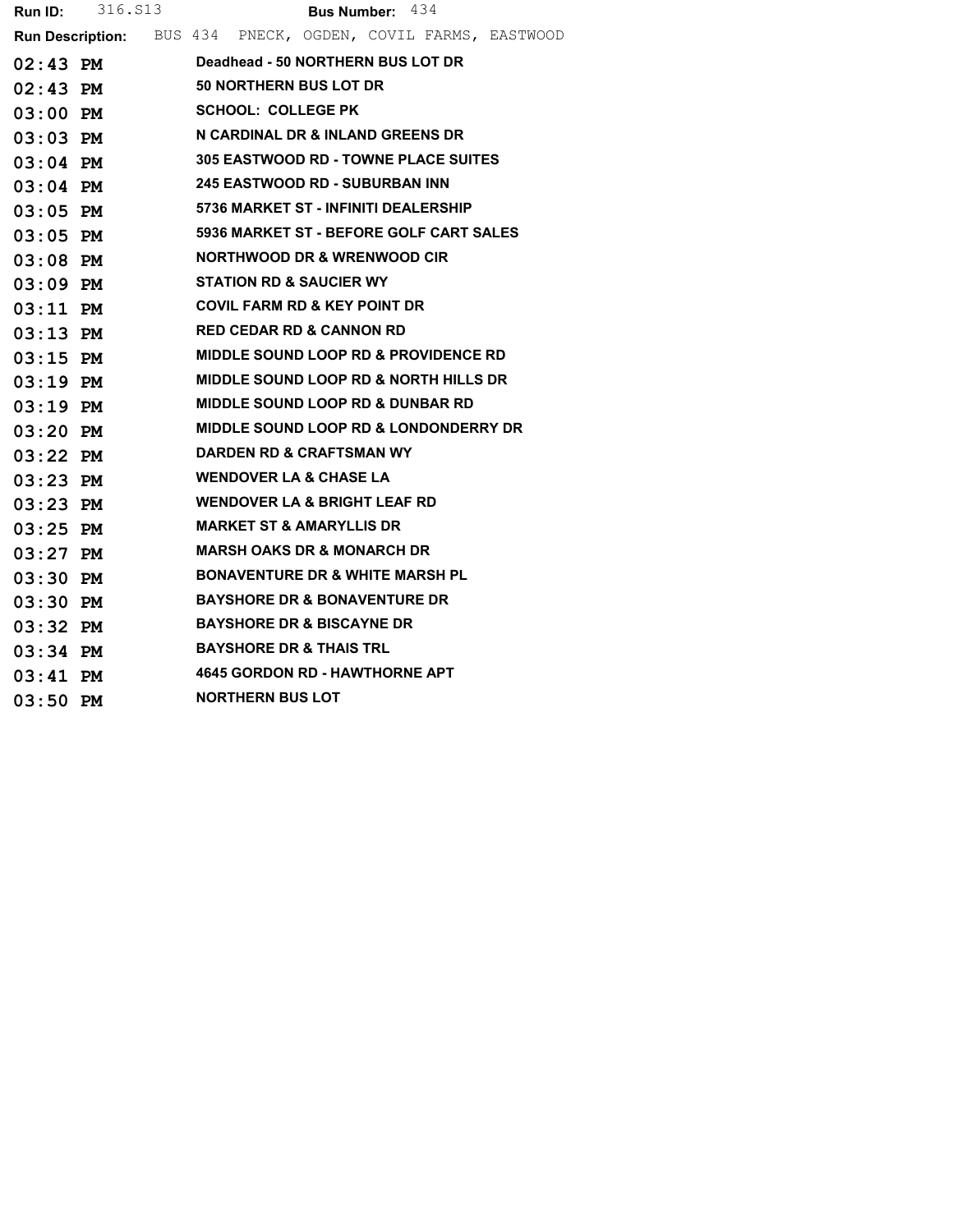| <b>Run ID:</b> | 316.S13 |  |                         | <b>Bus Number:</b> $434$                         |  |                                                              |
|----------------|---------|--|-------------------------|--------------------------------------------------|--|--------------------------------------------------------------|
|                |         |  |                         |                                                  |  | Run Description: BUS 434 PNECK, OGDEN, COVIL FARMS, EASTWOOD |
| $02:43$ PM     |         |  |                         | Deadhead - 50 NORTHERN BUS LOT DR                |  |                                                              |
| $02:43$ PM     |         |  |                         | <b>50 NORTHERN BUS LOT DR</b>                    |  |                                                              |
| $03:00$ PM     |         |  |                         | <b>SCHOOL: COLLEGE PK</b>                        |  |                                                              |
| $03:03$ PM     |         |  |                         | N CARDINAL DR & INLAND GREENS DR                 |  |                                                              |
| $03:04$ PM     |         |  |                         | <b>305 EASTWOOD RD - TOWNE PLACE SUITES</b>      |  |                                                              |
| $03:04$ PM     |         |  |                         | <b>245 EASTWOOD RD - SUBURBAN INN</b>            |  |                                                              |
| $03:05$ PM     |         |  |                         | 5736 MARKET ST - INFINITI DEALERSHIP             |  |                                                              |
| $03:05$ PM     |         |  |                         | 5936 MARKET ST - BEFORE GOLF CART SALES          |  |                                                              |
| $03:08$ PM     |         |  |                         | <b>NORTHWOOD DR &amp; WRENWOOD CIR</b>           |  |                                                              |
| $03:09$ PM     |         |  |                         | <b>STATION RD &amp; SAUCIER WY</b>               |  |                                                              |
| $03:11$ PM     |         |  |                         | <b>COVIL FARM RD &amp; KEY POINT DR</b>          |  |                                                              |
| $03:13$ PM     |         |  |                         | <b>RED CEDAR RD &amp; CANNON RD</b>              |  |                                                              |
| $03:15$ PM     |         |  |                         | <b>MIDDLE SOUND LOOP RD &amp; PROVIDENCE RD</b>  |  |                                                              |
| $03:19$ PM     |         |  |                         | <b>MIDDLE SOUND LOOP RD &amp; NORTH HILLS DR</b> |  |                                                              |
| $03:19$ PM     |         |  |                         | <b>MIDDLE SOUND LOOP RD &amp; DUNBAR RD</b>      |  |                                                              |
| $03:20$ PM     |         |  |                         | <b>MIDDLE SOUND LOOP RD &amp; LONDONDERRY DR</b> |  |                                                              |
| $03:22$ PM     |         |  |                         | DARDEN RD & CRAFTSMAN WY                         |  |                                                              |
| 03:23 PM       |         |  |                         | <b>WENDOVER LA &amp; CHASE LA</b>                |  |                                                              |
| $03:23$ PM     |         |  |                         | <b>WENDOVER LA &amp; BRIGHT LEAF RD</b>          |  |                                                              |
| $03:25$ PM     |         |  |                         | <b>MARKET ST &amp; AMARYLLIS DR</b>              |  |                                                              |
| $03:27$ PM     |         |  |                         | <b>MARSH OAKS DR &amp; MONARCH DR</b>            |  |                                                              |
| $03:30$ PM     |         |  |                         | <b>BONAVENTURE DR &amp; WHITE MARSH PL</b>       |  |                                                              |
| $03:30$ PM     |         |  |                         | <b>BAYSHORE DR &amp; BONAVENTURE DR</b>          |  |                                                              |
| 03:32 PM       |         |  |                         | <b>BAYSHORE DR &amp; BISCAYNE DR</b>             |  |                                                              |
| $03:34$ PM     |         |  |                         | <b>BAYSHORE DR &amp; THAIS TRL</b>               |  |                                                              |
| $03:41$ PM     |         |  |                         | <b>4645 GORDON RD - HAWTHORNE APT</b>            |  |                                                              |
| $03:50$ PM     |         |  | <b>NORTHERN BUS LOT</b> |                                                  |  |                                                              |
|                |         |  |                         |                                                  |  |                                                              |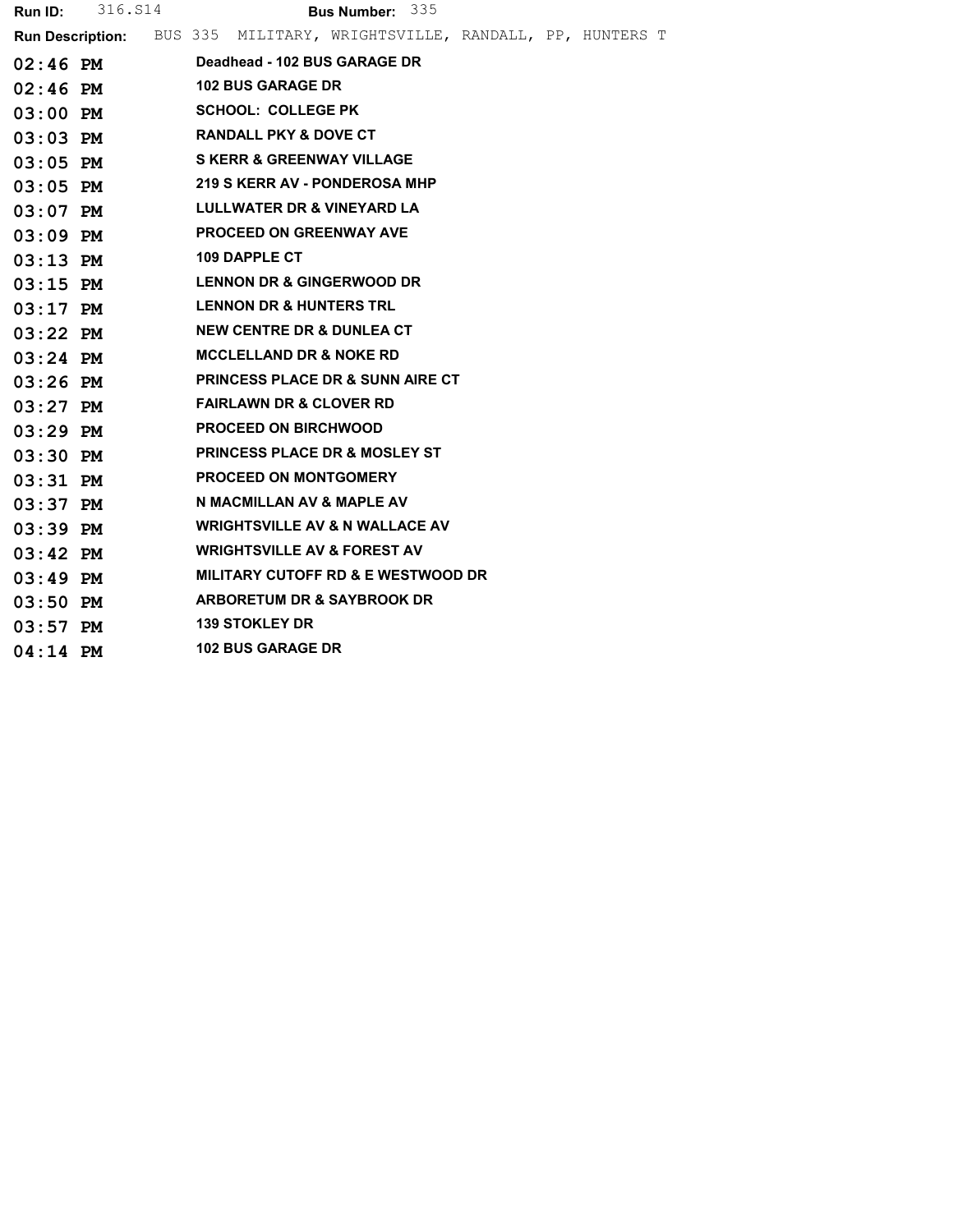|            | <b>Run ID:</b> 316. S14 |  |                                                                                | Bus Number: 335 |  |  |
|------------|-------------------------|--|--------------------------------------------------------------------------------|-----------------|--|--|
|            |                         |  | <b>Run Description:</b> BUS 335 MILITARY, WRIGHTSVILLE, RANDALL, PP, HUNTERS T |                 |  |  |
|            | $02:46$ PM              |  | Deadhead - 102 BUS GARAGE DR                                                   |                 |  |  |
| $02:46$ PM |                         |  | <b>102 BUS GARAGE DR</b>                                                       |                 |  |  |
| $03:00$ PM |                         |  | <b>SCHOOL: COLLEGE PK</b>                                                      |                 |  |  |
| $03:03$ PM |                         |  | <b>RANDALL PKY &amp; DOVE CT</b>                                               |                 |  |  |
| $03:05$ PM |                         |  | <b>S KERR &amp; GREENWAY VILLAGE</b>                                           |                 |  |  |
| $03:05$ PM |                         |  | <b>219 S KERR AV - PONDEROSA MHP</b>                                           |                 |  |  |
| $03:07$ PM |                         |  | LULLWATER DR & VINEYARD LA                                                     |                 |  |  |
| $03:09$ PM |                         |  | <b>PROCEED ON GREENWAY AVE</b>                                                 |                 |  |  |
| $03:13$ PM |                         |  | <b>109 DAPPLE CT</b>                                                           |                 |  |  |
| $03:15$ PM |                         |  | <b>LENNON DR &amp; GINGERWOOD DR</b>                                           |                 |  |  |
| $03:17$ PM |                         |  | <b>LENNON DR &amp; HUNTERS TRL</b>                                             |                 |  |  |
| $03:22$ PM |                         |  | <b>NEW CENTRE DR &amp; DUNLEA CT</b>                                           |                 |  |  |
| $03:24$ PM |                         |  | <b>MCCLELLAND DR &amp; NOKE RD</b>                                             |                 |  |  |
| $03:26$ PM |                         |  | <b>PRINCESS PLACE DR &amp; SUNN AIRE CT</b>                                    |                 |  |  |
| $03:27$ PM |                         |  | <b>FAIRLAWN DR &amp; CLOVER RD</b>                                             |                 |  |  |
| $03:29$ PM |                         |  | <b>PROCEED ON BIRCHWOOD</b>                                                    |                 |  |  |
| $03:30$ PM |                         |  | <b>PRINCESS PLACE DR &amp; MOSLEY ST</b>                                       |                 |  |  |
| $03:31$ PM |                         |  | <b>PROCEED ON MONTGOMERY</b>                                                   |                 |  |  |
| $03:37$ PM |                         |  | N MACMILLAN AV & MAPLE AV                                                      |                 |  |  |
| $03:39$ PM |                         |  | <b>WRIGHTSVILLE AV &amp; N WALLACE AV</b>                                      |                 |  |  |
| $03:42$ PM |                         |  | <b>WRIGHTSVILLE AV &amp; FOREST AV</b>                                         |                 |  |  |
| $03:49$ PM |                         |  | <b>MILITARY CUTOFF RD &amp; E WESTWOOD DR</b>                                  |                 |  |  |
| $03:50$ PM |                         |  | <b>ARBORETUM DR &amp; SAYBROOK DR</b>                                          |                 |  |  |
| $03:57$ PM |                         |  | <b>139 STOKLEY DR</b>                                                          |                 |  |  |
| $04:14$ PM |                         |  | <b>102 BUS GARAGE DR</b>                                                       |                 |  |  |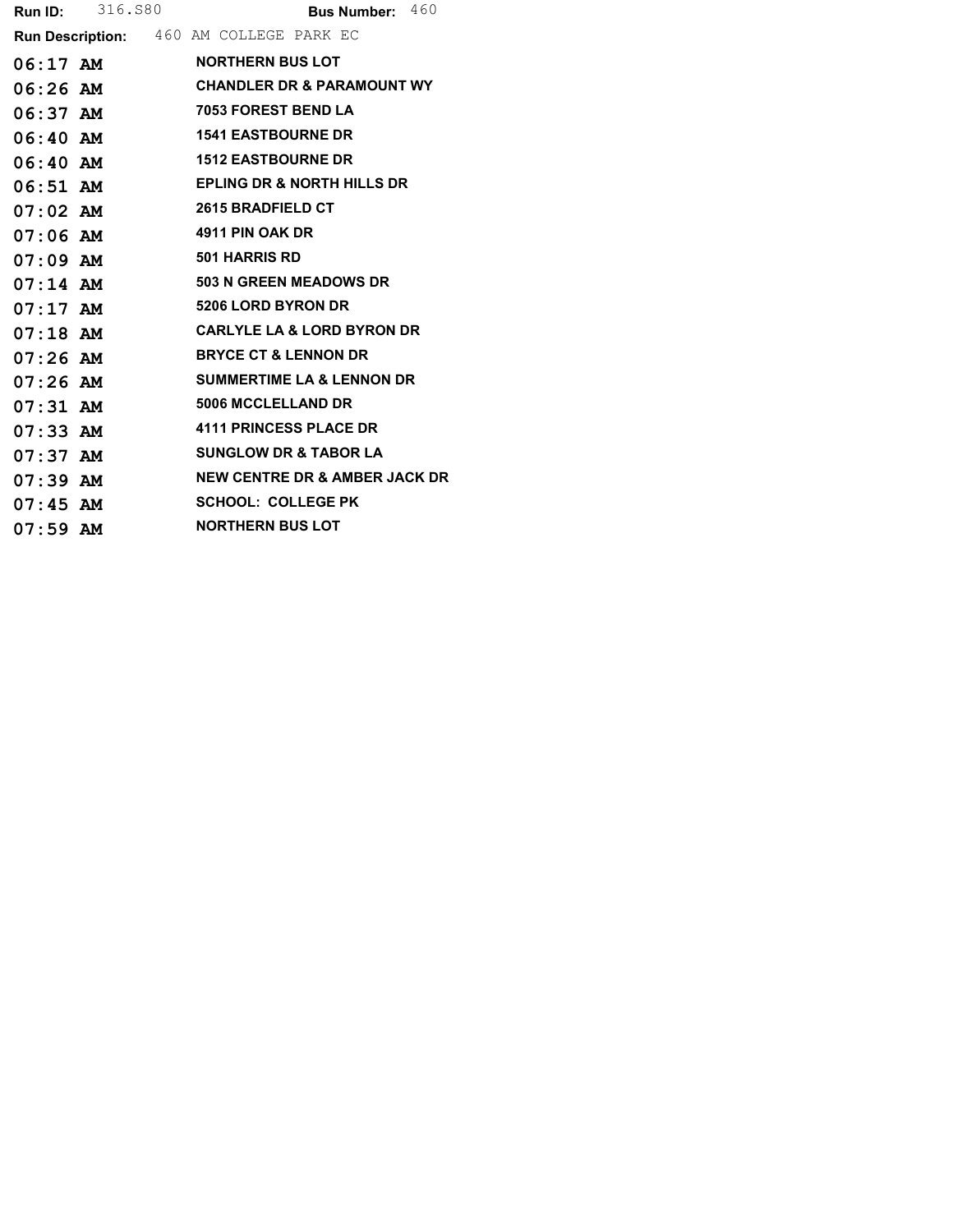|            | <b>Run ID:</b> 316.880 | Bus Number: 460                         |
|------------|------------------------|-----------------------------------------|
|            |                        | Run Description: 460 AM COLLEGE PARK EC |
| $06:17$ AM |                        | <b>NORTHERN BUS LOT</b>                 |
| $06:26$ AM |                        | <b>CHANDLER DR &amp; PARAMOUNT WY</b>   |
| $06:37$ AM |                        | <b>7053 FOREST BEND LA</b>              |
| $06:40$ AM |                        | <b>1541 EASTBOURNE DR</b>               |
| $06:40$ AM |                        | <b>1512 EASTBOURNE DR</b>               |
| $06:51$ AM |                        | <b>EPLING DR &amp; NORTH HILLS DR</b>   |
| $07:02$ AM |                        | 2615 BRADFIELD CT                       |
| $07:06$ AM |                        | 4911 PIN OAK DR                         |
| $07:09$ AM |                        | <b>501 HARRIS RD</b>                    |
| $07:14$ AM |                        | 503 N GREEN MEADOWS DR                  |
| $07:17$ AM |                        | <b>5206 LORD BYRON DR</b>               |
| $07:18$ AM |                        | <b>CARLYLE LA &amp; LORD BYRON DR</b>   |
| $07:26$ AM |                        | <b>BRYCE CT &amp; LENNON DR</b>         |
| $07:26$ AM |                        | <b>SUMMERTIME LA &amp; LENNON DR</b>    |
| $07:31$ AM |                        | <b>5006 MCCLELLAND DR</b>               |
| $07:33$ AM |                        | <b>4111 PRINCESS PLACE DR</b>           |
| $07:37$ AM |                        | <b>SUNGLOW DR &amp; TABOR LA</b>        |
| $07:39$ AM |                        | NEW CENTRE DR & AMBER JACK DR           |
| $07:45$ AM |                        | <b>SCHOOL: COLLEGE PK</b>               |
| $07:59$ AM |                        | <b>NORTHERN BUS LOT</b>                 |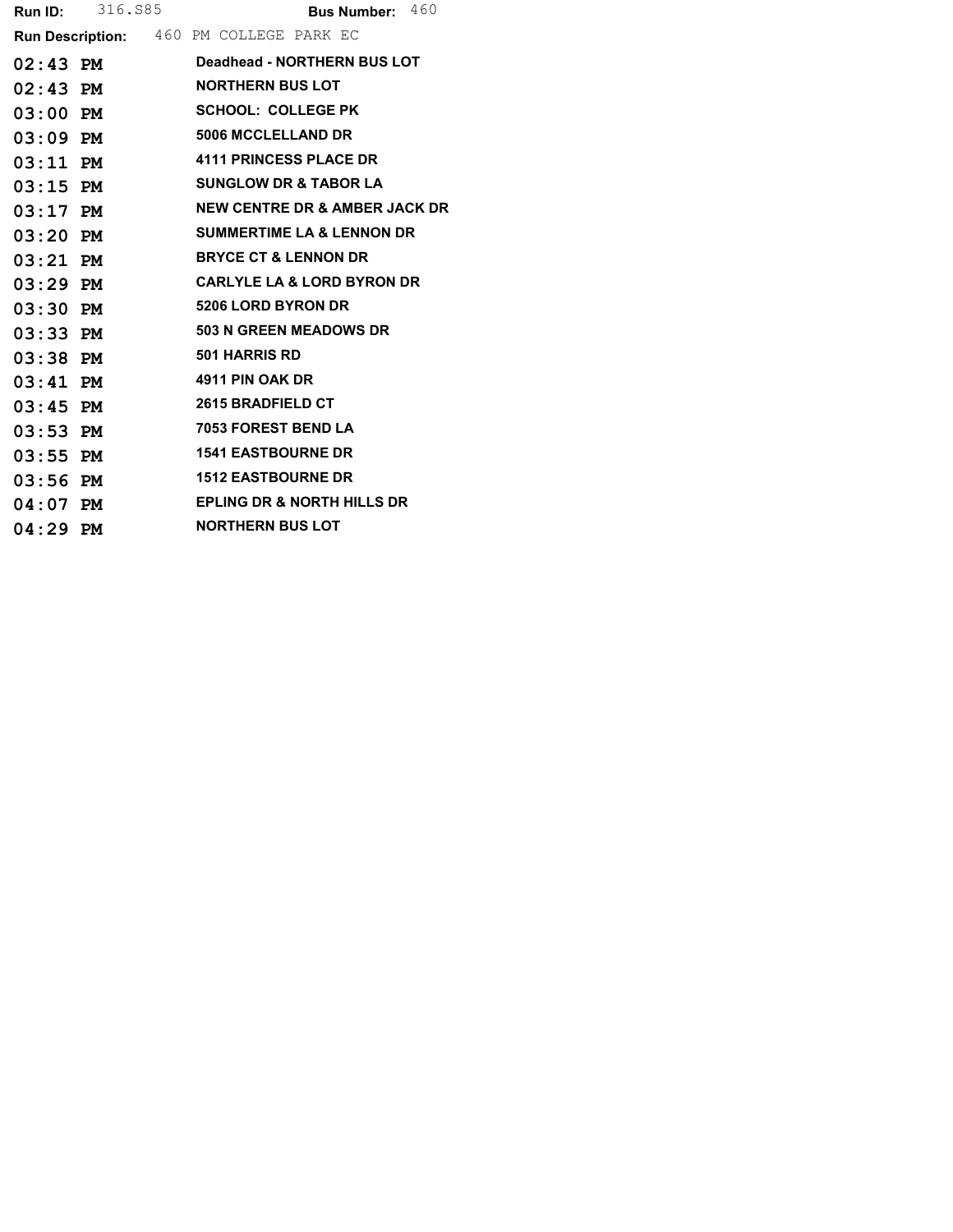|            | <b>Run ID:</b> 316.885 |                                         | <b>Bus Number:</b> $460$ |  |
|------------|------------------------|-----------------------------------------|--------------------------|--|
|            |                        | Run Description: 460 PM COLLEGE PARK EC |                          |  |
| 02:43 PM   |                        | Deadhead - NORTHERN BUS LOT             |                          |  |
| $02:43$ PM |                        | <b>NORTHERN BUS LOT</b>                 |                          |  |
| $03:00$ PM |                        | <b>SCHOOL: COLLEGE PK</b>               |                          |  |
| $03:09$ PM |                        | <b>5006 MCCLELLAND DR</b>               |                          |  |
| $03:11$ PM |                        | <b>4111 PRINCESS PLACE DR</b>           |                          |  |
| $03:15$ PM |                        | <b>SUNGLOW DR &amp; TABOR LA</b>        |                          |  |
| $03:17$ PM |                        | NEW CENTRE DR & AMBER JACK DR           |                          |  |
| $03:20$ PM |                        | <b>SUMMERTIME LA &amp; LENNON DR</b>    |                          |  |
| $03:21$ PM |                        | <b>BRYCE CT &amp; LENNON DR</b>         |                          |  |
| $03:29$ PM |                        | <b>CARLYLE LA &amp; LORD BYRON DR</b>   |                          |  |
| $03:30$ PM |                        | <b>5206 LORD BYRON DR</b>               |                          |  |
| $03:33$ PM |                        | <b>503 N GREEN MEADOWS DR</b>           |                          |  |
| $03:38$ PM |                        | <b>501 HARRIS RD</b>                    |                          |  |
| $03:41$ PM |                        | 4911 PIN OAK DR                         |                          |  |
| $03:45$ PM |                        | <b>2615 BRADFIELD CT</b>                |                          |  |
| $03:53$ PM |                        | 7053 FOREST BEND LA                     |                          |  |
| $03:55$ PM |                        | <b>1541 EASTBOURNE DR</b>               |                          |  |
| $03:56$ PM |                        | <b>1512 EASTBOURNE DR</b>               |                          |  |
| $04:07$ PM |                        | <b>EPLING DR &amp; NORTH HILLS DR</b>   |                          |  |
| $04:29$ PM |                        | <b>NORTHERN BUS LOT</b>                 |                          |  |